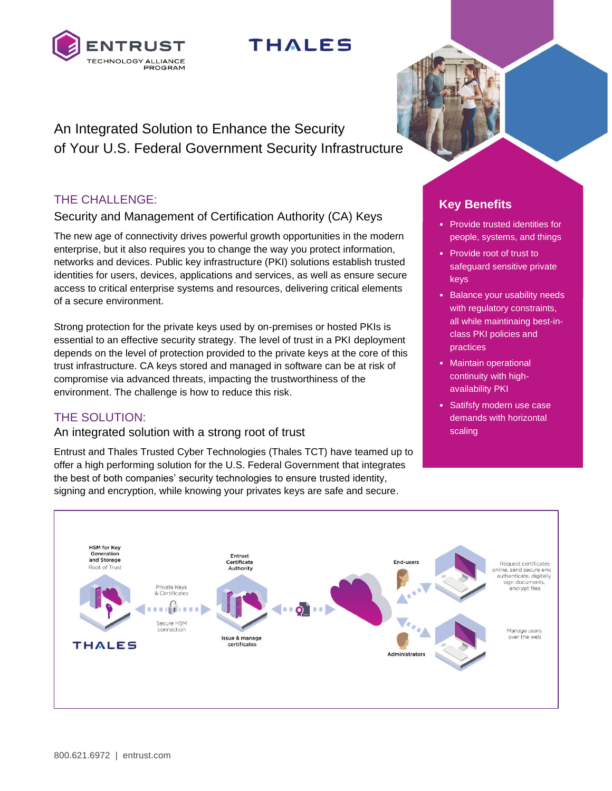

# **THALES**

An Integrated Solution to Enhance the Security of Your U.S. Federal Government Security Infrastructure

# THE CHALLENGE:

# Security and Management of Certification Authority (CA) Keys

The new age of connectivity drives powerful growth opportunities in the modern enterprise, but it also requires you to change the way you protect information, networks and devices. Public key infrastructure (PKI) solutions establish trusted identities for users, devices, applications and services, as well as ensure secure access to critical enterprise systems and resources, delivering critical elements of a secure environment.

Strong protection for the private keys used by on-premises or hosted PKIs is essential to an effective security strategy. The level of trust in a PKI deployment depends on the level of protection provided to the private keys at the core of this trust infrastructure. CA keys stored and managed in software can be at risk of compromise via advanced threats, impacting the trustworthiness of the environment. The challenge is how to reduce this risk.

# THE SOLUTION:

## An integrated solution with a strong root of trust

Entrust and Thales Trusted Cyber Technologies (Thales TCT) have teamed up to offer a high performing solution for the U.S. Federal Government that integrates the best of both companies' security technologies to ensure trusted identity, signing and encryption, while knowing your privates keys are safe and secure.

# **Key Benefits**

- Provide trusted identities for people, systems, and things
- Provide root of trust to safeguard sensitive private keys
- Balance your usability needs with regulatory constraints, all while maintinaing best-inclass PKI policies and practices
- Maintain operational continuity with highavailability PKI
- Satifsfy modern use case demands with horizontal scaling